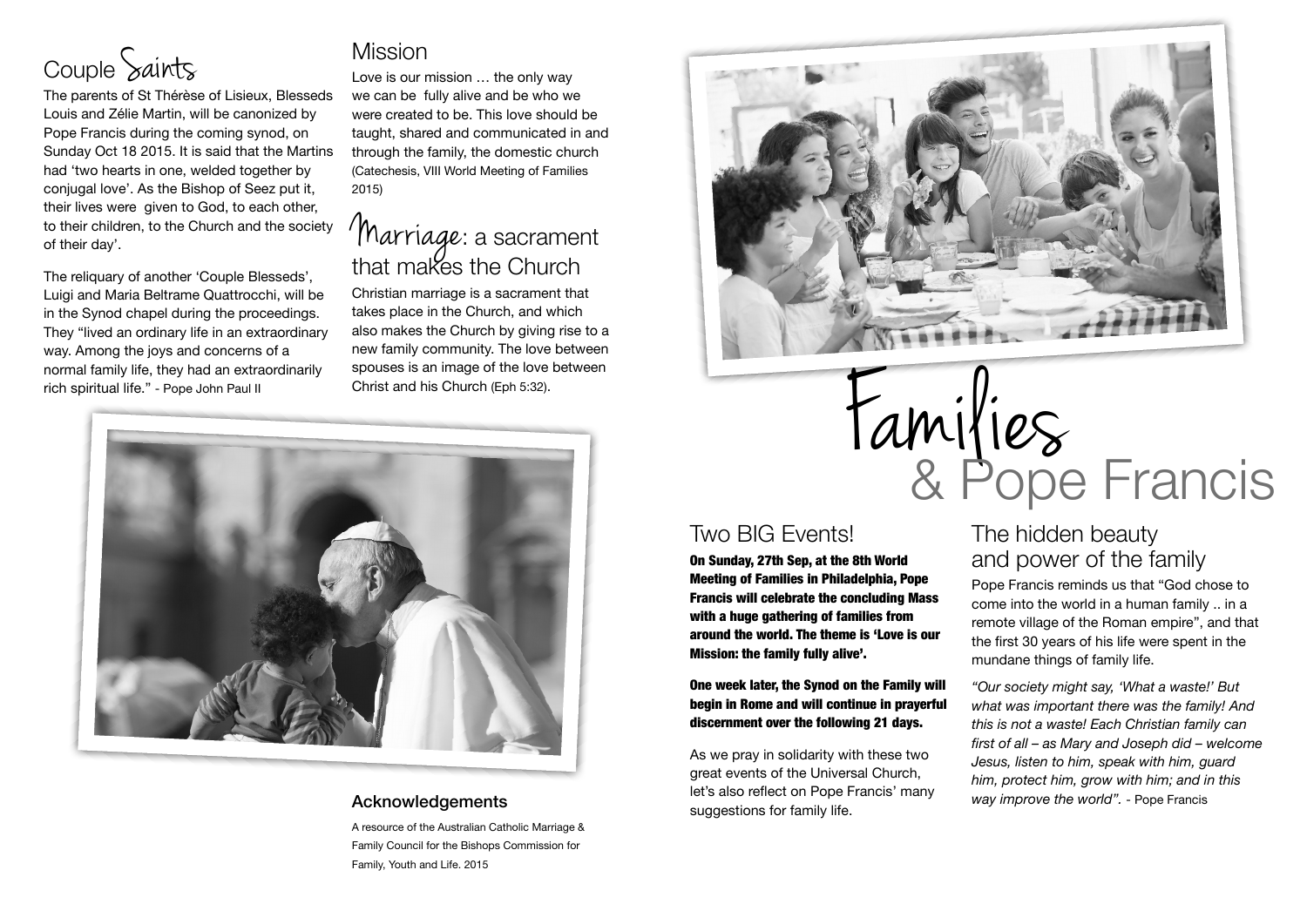

The parents of St Thérèse of Lisieux, Blesseds Louis and Zélie Martin, will be canonized by Pope Francis during the coming synod, on Sunday Oct 18 2015. It is said that the Martins had 'two hearts in one, welded together by conjugal love'. As the Bishop of Seez put it, their lives were given to God, to each other, to their children, to the Church and the society of their day'.

The reliquary of another 'Couple Blesseds', Luigi and Maria Beltrame Quattrocchi, will be in the Synod chapel during the proceedings. They "lived an ordinary life in an extraordinary way. Among the joys and concerns of a normal family life, they had an extraordinarily rich spiritual life." - Pope John Paul II

## Mission

Love is our mission … the only way we can be fully alive and be who we were created to be. This love should be taught, shared and communicated in and through the family, the domestic church (Catechesis, VIII World Meeting of Families 2015)

## Marriage: a sacrament that makes the Church

Christian marriage is a sacrament that takes place in the Church, and which also makes the Church by giving rise to a new family community. The love between spouses is an image of the love between Christ and his Church (Eph 5:32).



#### Acknowledgements

A resource of the Australian Catholic Marriage & Family Council for the Bishops Commission for Family, Youth and Life. 2015





## Two BIG Events!

On Sunday, 27th Sep, at the 8th World Meeting of Families in Philadelphia, Pope Francis will celebrate the concluding Mass with a huge gathering of families from around the world. The theme is 'Love is our Mission: the family fully alive'.

#### One week later, the Synod on the Family will begin in Rome and will continue in prayerful discernment over the following 21 days.

As we pray in solidarity with these two great events of the Universal Church, let's also reflect on Pope Francis' many suggestions for family life.

## The hidden beauty and power of the family

Pope Francis reminds us that "God chose to come into the world in a human family .. in a remote village of the Roman empire", and that the first 30 years of his life were spent in the mundane things of family life.

*"Our society might say, 'What a waste!' But what was important there was the family! And this is not a waste! Each Christian family can first of all – as Mary and Joseph did – welcome Jesus, listen to him, speak with him, guard him, protect him, grow with him; and in this way improve the world".* - Pope Francis